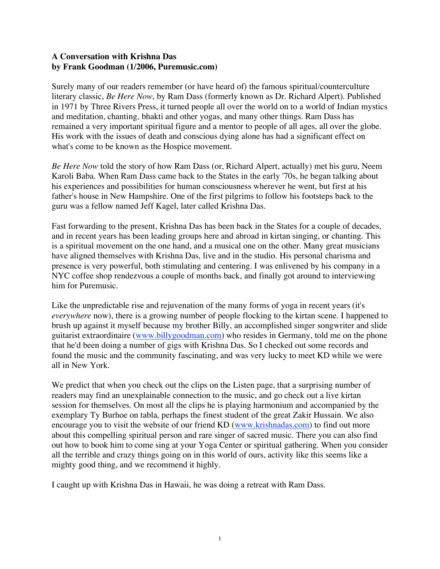### **A Conversation with Krishna Das by Frank Goodman (1/2006, Puremusic.com)**

Surely many of our readers remember (or have heard of) the famous spiritual/counterculture literary classic, *Be Here Now*, by Ram Dass (formerly known as Dr. Richard Alpert). Published in 1971 by Three Rivers Press, it turned people all over the world on to a world of Indian mystics and meditation, chanting, bhakti and other yogas, and many other things. Ram Dass has remained a very important spiritual figure and a mentor to people of all ages, all over the globe. His work with the issues of death and conscious dying alone has had a significant effect on what's come to be known as the Hospice movement.

*Be Here Now* told the story of how Ram Dass (or, Richard Alpert, actually) met his guru, Neem Karoli Baba. When Ram Dass came back to the States in the early '70s, he began talking about his experiences and possibilities for human consciousness wherever he went, but first at his father's house in New Hampshire. One of the first pilgrims to follow his footsteps back to the guru was a fellow named Jeff Kagel, later called Krishna Das.

Fast forwarding to the present, Krishna Das has been back in the States for a couple of decades, and in recent years has been leading groups here and abroad in kirtan singing, or chanting. This is a spiritual movement on the one hand, and a musical one on the other. Many great musicians have aligned themselves with Krishna Das, live and in the studio. His personal charisma and presence is very powerful, both stimulating and centering. I was enlivened by his company in a NYC coffee shop rendezvous a couple of months back, and finally got around to interviewing him for Puremusic.

Like the unpredictable rise and rejuvenation of the many forms of yoga in recent years (it's *everywhere* now), there is a growing number of people flocking to the kirtan scene. I happened to brush up against it myself because my brother Billy, an accomplished singer songwriter and slide guitarist extraordinaire (www.billygoodman.com) who resides in Germany, told me on the phone that he'd been doing a number of gigs with Krishna Das. So I checked out some records and found the music and the community fascinating, and was very lucky to meet KD while we were all in New York.

We predict that when you check out the clips on the Listen page, that a surprising number of readers may find an unexplainable connection to the music, and go check out a live kirtan session for themselves. On most all the clips he is playing harmonium and accompanied by the exemplary Ty Burhoe on tabla, perhaps the finest student of the great Zakir Hussain. We also encourage you to visit the website of our friend KD (www.krishnadas.com) to find out more about this compelling spiritual person and rare singer of sacred music. There you can also find out how to book him to come sing at your Yoga Center or spiritual gathering. When you consider all the terrible and crazy things going on in this world of ours, activity like this seems like a mighty good thing, and we recommend it highly.

I caught up with Krishna Das in Hawaii, he was doing a retreat with Ram Dass.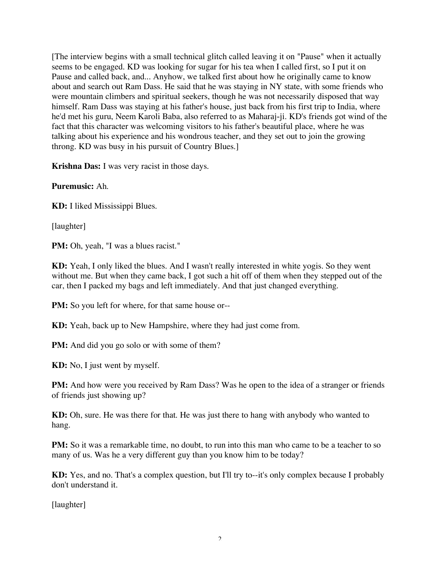[The interview begins with a small technical glitch called leaving it on "Pause" when it actually seems to be engaged. KD was looking for sugar for his tea when I called first, so I put it on Pause and called back, and... Anyhow, we talked first about how he originally came to know about and search out Ram Dass. He said that he was staying in NY state, with some friends who were mountain climbers and spiritual seekers, though he was not necessarily disposed that way himself. Ram Dass was staying at his father's house, just back from his first trip to India, where he'd met his guru, Neem Karoli Baba, also referred to as Maharaj-ji. KD's friends got wind of the fact that this character was welcoming visitors to his father's beautiful place, where he was talking about his experience and his wondrous teacher, and they set out to join the growing throng. KD was busy in his pursuit of Country Blues.]

**Krishna Das:** I was very racist in those days.

**Puremusic:** Ah.

**KD:** I liked Mississippi Blues.

[laughter]

PM: Oh, yeah, "I was a blues racist."

**KD:** Yeah, I only liked the blues. And I wasn't really interested in white yogis. So they went without me. But when they came back, I got such a hit off of them when they stepped out of the car, then I packed my bags and left immediately. And that just changed everything.

**PM:** So you left for where, for that same house or--

**KD:** Yeah, back up to New Hampshire, where they had just come from.

**PM:** And did you go solo or with some of them?

**KD:** No, I just went by myself.

**PM:** And how were you received by Ram Dass? Was he open to the idea of a stranger or friends of friends just showing up?

**KD:** Oh, sure. He was there for that. He was just there to hang with anybody who wanted to hang.

**PM:** So it was a remarkable time, no doubt, to run into this man who came to be a teacher to so many of us. Was he a very different guy than you know him to be today?

**KD:** Yes, and no. That's a complex question, but I'll try to--it's only complex because I probably don't understand it.

[laughter]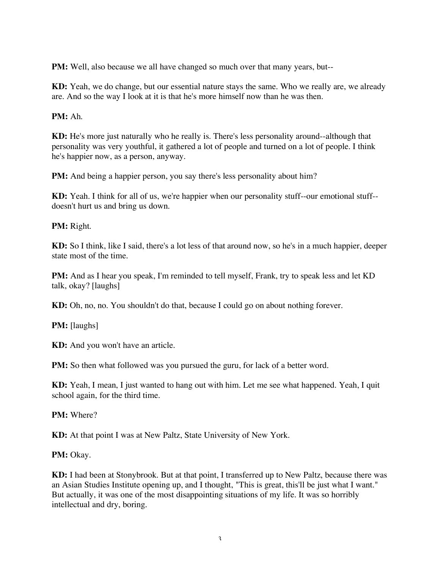**PM:** Well, also because we all have changed so much over that many years, but--

**KD:** Yeah, we do change, but our essential nature stays the same. Who we really are, we already are. And so the way I look at it is that he's more himself now than he was then.

#### **PM:** Ah.

**KD:** He's more just naturally who he really is. There's less personality around--although that personality was very youthful, it gathered a lot of people and turned on a lot of people. I think he's happier now, as a person, anyway.

**PM:** And being a happier person, you say there's less personality about him?

**KD:** Yeah. I think for all of us, we're happier when our personality stuff--our emotional stuff- doesn't hurt us and bring us down.

#### **PM:** Right.

**KD:** So I think, like I said, there's a lot less of that around now, so he's in a much happier, deeper state most of the time.

**PM:** And as I hear you speak, I'm reminded to tell myself, Frank, try to speak less and let KD talk, okay? [laughs]

**KD:** Oh, no, no. You shouldn't do that, because I could go on about nothing forever.

**PM:** [laughs]

**KD:** And you won't have an article.

**PM:** So then what followed was you pursued the guru, for lack of a better word.

**KD:** Yeah, I mean, I just wanted to hang out with him. Let me see what happened. Yeah, I quit school again, for the third time.

**PM:** Where?

**KD:** At that point I was at New Paltz, State University of New York.

**PM:** Okay.

**KD:** I had been at Stonybrook. But at that point, I transferred up to New Paltz, because there was an Asian Studies Institute opening up, and I thought, "This is great, this'll be just what I want." But actually, it was one of the most disappointing situations of my life. It was so horribly intellectual and dry, boring.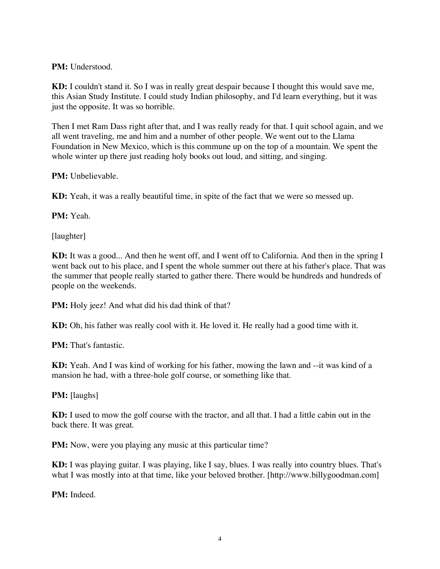**PM:** Understood.

**KD:** I couldn't stand it. So I was in really great despair because I thought this would save me, this Asian Study Institute. I could study Indian philosophy, and I'd learn everything, but it was just the opposite. It was so horrible.

Then I met Ram Dass right after that, and I was really ready for that. I quit school again, and we all went traveling, me and him and a number of other people. We went out to the Llama Foundation in New Mexico, which is this commune up on the top of a mountain. We spent the whole winter up there just reading holy books out loud, and sitting, and singing.

**PM:** Unbelievable.

**KD:** Yeah, it was a really beautiful time, in spite of the fact that we were so messed up.

**PM:** Yeah.

[laughter]

**KD:** It was a good... And then he went off, and I went off to California. And then in the spring I went back out to his place, and I spent the whole summer out there at his father's place. That was the summer that people really started to gather there. There would be hundreds and hundreds of people on the weekends.

**PM:** Holy jeez! And what did his dad think of that?

**KD:** Oh, his father was really cool with it. He loved it. He really had a good time with it.

**PM:** That's fantastic.

**KD:** Yeah. And I was kind of working for his father, mowing the lawn and --it was kind of a mansion he had, with a three-hole golf course, or something like that.

**PM:** [laughs]

**KD:** I used to mow the golf course with the tractor, and all that. I had a little cabin out in the back there. It was great.

**PM:** Now, were you playing any music at this particular time?

**KD:** I was playing guitar. I was playing, like I say, blues. I was really into country blues. That's what I was mostly into at that time, like your beloved brother. [http://www.billygoodman.com]

**PM:** Indeed.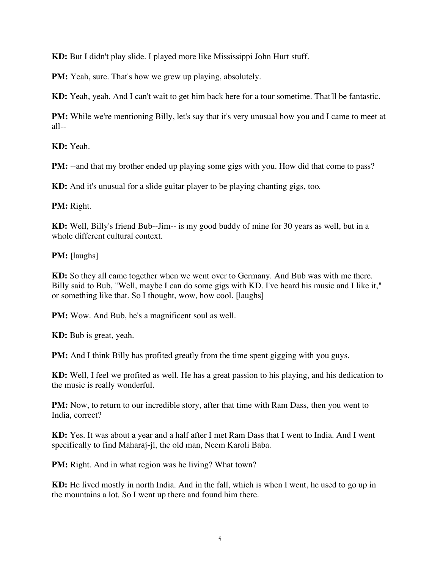**KD:** But I didn't play slide. I played more like Mississippi John Hurt stuff.

**PM:** Yeah, sure. That's how we grew up playing, absolutely.

**KD:** Yeah, yeah. And I can't wait to get him back here for a tour sometime. That'll be fantastic.

**PM:** While we're mentioning Billy, let's say that it's very unusual how you and I came to meet at all--

**KD:** Yeah.

**PM:** --and that my brother ended up playing some gigs with you. How did that come to pass?

**KD:** And it's unusual for a slide guitar player to be playing chanting gigs, too.

**PM:** Right.

**KD:** Well, Billy's friend Bub--Jim-- is my good buddy of mine for 30 years as well, but in a whole different cultural context.

**PM:** [laughs]

**KD:** So they all came together when we went over to Germany. And Bub was with me there. Billy said to Bub, "Well, maybe I can do some gigs with KD. I've heard his music and I like it," or something like that. So I thought, wow, how cool. [laughs]

**PM:** Wow. And Bub, he's a magnificent soul as well.

**KD:** Bub is great, yeah.

**PM:** And I think Billy has profited greatly from the time spent gigging with you guys.

**KD:** Well, I feel we profited as well. He has a great passion to his playing, and his dedication to the music is really wonderful.

**PM:** Now, to return to our incredible story, after that time with Ram Dass, then you went to India, correct?

**KD:** Yes. It was about a year and a half after I met Ram Dass that I went to India. And I went specifically to find Maharaj-ji, the old man, Neem Karoli Baba.

**PM:** Right. And in what region was he living? What town?

**KD:** He lived mostly in north India. And in the fall, which is when I went, he used to go up in the mountains a lot. So I went up there and found him there.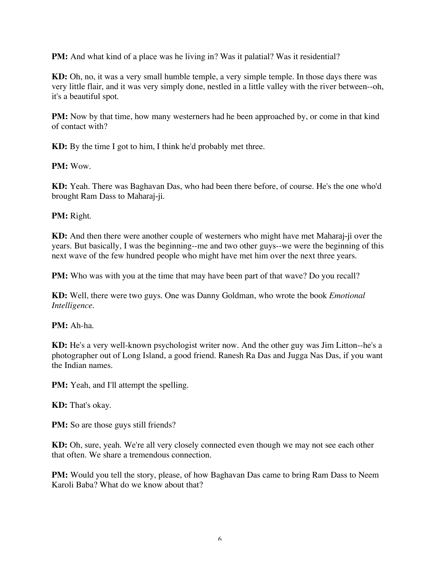**PM:** And what kind of a place was he living in? Was it palatial? Was it residential?

**KD:** Oh, no, it was a very small humble temple, a very simple temple. In those days there was very little flair, and it was very simply done, nestled in a little valley with the river between--oh, it's a beautiful spot.

**PM:** Now by that time, how many westerners had he been approached by, or come in that kind of contact with?

**KD:** By the time I got to him, I think he'd probably met three.

**PM:** Wow.

**KD:** Yeah. There was Baghavan Das, who had been there before, of course. He's the one who'd brought Ram Dass to Maharaj-ji.

**PM:** Right.

**KD:** And then there were another couple of westerners who might have met Maharaj-ji over the years. But basically, I was the beginning--me and two other guys--we were the beginning of this next wave of the few hundred people who might have met him over the next three years.

**PM:** Who was with you at the time that may have been part of that wave? Do you recall?

**KD:** Well, there were two guys. One was Danny Goldman, who wrote the book *Emotional Intelligence*.

**PM:** Ah-ha.

**KD:** He's a very well-known psychologist writer now. And the other guy was Jim Litton--he's a photographer out of Long Island, a good friend. Ranesh Ra Das and Jugga Nas Das, if you want the Indian names.

**PM:** Yeah, and I'll attempt the spelling.

**KD:** That's okay.

**PM:** So are those guys still friends?

**KD:** Oh, sure, yeah. We're all very closely connected even though we may not see each other that often. We share a tremendous connection.

**PM:** Would you tell the story, please, of how Baghavan Das came to bring Ram Dass to Neem Karoli Baba? What do we know about that?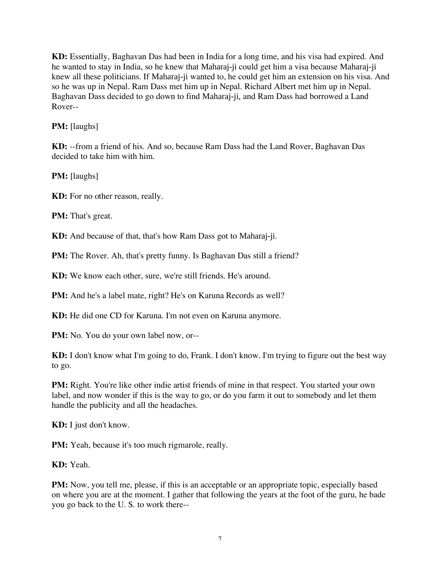**KD:** Essentially, Baghavan Das had been in India for a long time, and his visa had expired. And he wanted to stay in India, so he knew that Maharaj-ji could get him a visa because Maharaj-ji knew all these politicians. If Maharaj-ji wanted to, he could get him an extension on his visa. And so he was up in Nepal. Ram Dass met him up in Nepal. Richard Albert met him up in Nepal. Baghavan Dass decided to go down to find Maharaj-ji, and Ram Dass had borrowed a Land Rover--

**PM:** [laughs]

**KD:** --from a friend of his. And so, because Ram Dass had the Land Rover, Baghavan Das decided to take him with him.

**PM:** [laughs]

**KD:** For no other reason, really.

**PM:** That's great.

**KD:** And because of that, that's how Ram Dass got to Maharaj-ji.

**PM:** The Rover. Ah, that's pretty funny. Is Baghavan Das still a friend?

**KD:** We know each other, sure, we're still friends. He's around.

**PM:** And he's a label mate, right? He's on Karuna Records as well?

**KD:** He did one CD for Karuna. I'm not even on Karuna anymore.

**PM:** No. You do your own label now, or--

**KD:** I don't know what I'm going to do, Frank. I don't know. I'm trying to figure out the best way to go.

**PM:** Right. You're like other indie artist friends of mine in that respect. You started your own label, and now wonder if this is the way to go, or do you farm it out to somebody and let them handle the publicity and all the headaches.

**KD:** I just don't know.

**PM:** Yeah, because it's too much rigmarole, really.

**KD:** Yeah.

**PM:** Now, you tell me, please, if this is an acceptable or an appropriate topic, especially based on where you are at the moment. I gather that following the years at the foot of the guru, he bade you go back to the U. S. to work there--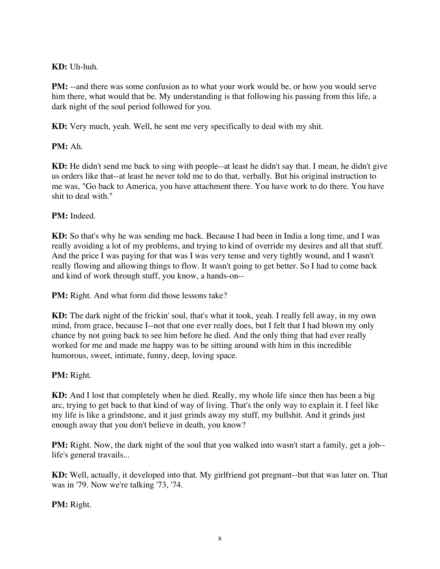# **KD:** Uh-huh.

**PM:** --and there was some confusion as to what your work would be, or how you would serve him there, what would that be. My understanding is that following his passing from this life, a dark night of the soul period followed for you.

**KD:** Very much, yeah. Well, he sent me very specifically to deal with my shit.

# **PM:** Ah.

**KD:** He didn't send me back to sing with people--at least he didn't say that. I mean, he didn't give us orders like that--at least he never told me to do that, verbally. But his original instruction to me was, "Go back to America, you have attachment there. You have work to do there. You have shit to deal with."

### **PM:** Indeed.

**KD:** So that's why he was sending me back. Because I had been in India a long time, and I was really avoiding a lot of my problems, and trying to kind of override my desires and all that stuff. And the price I was paying for that was I was very tense and very tightly wound, and I wasn't really flowing and allowing things to flow. It wasn't going to get better. So I had to come back and kind of work through stuff, you know, a hands-on--

**PM:** Right. And what form did those lessons take?

**KD:** The dark night of the frickin' soul, that's what it took, yeah. I really fell away, in my own mind, from grace, because I--not that one ever really does, but I felt that I had blown my only chance by not going back to see him before he died. And the only thing that had ever really worked for me and made me happy was to be sitting around with him in this incredible humorous, sweet, intimate, funny, deep, loving space.

# **PM:** Right.

**KD:** And I lost that completely when he died. Really, my whole life since then has been a big arc, trying to get back to that kind of way of living. That's the only way to explain it. I feel like my life is like a grindstone, and it just grinds away my stuff, my bullshit. And it grinds just enough away that you don't believe in death, you know?

**PM:** Right. Now, the dark night of the soul that you walked into wasn't start a family, get a job-life's general travails...

**KD:** Well, actually, it developed into that. My girlfriend got pregnant--but that was later on. That was in '79. Now we're talking '73, '74.

**PM:** Right.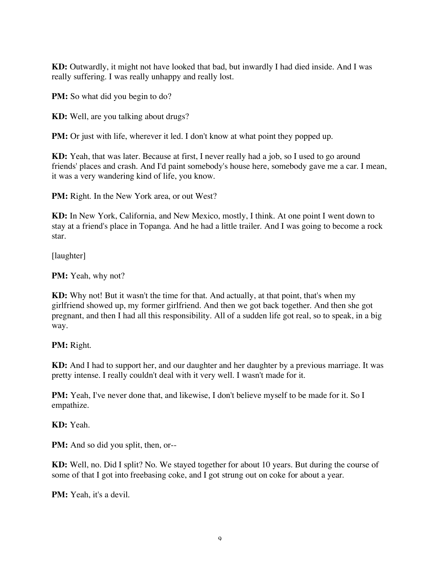**KD:** Outwardly, it might not have looked that bad, but inwardly I had died inside. And I was really suffering. I was really unhappy and really lost.

**PM:** So what did you begin to do?

**KD:** Well, are you talking about drugs?

**PM:** Or just with life, wherever it led. I don't know at what point they popped up.

**KD:** Yeah, that was later. Because at first, I never really had a job, so I used to go around friends' places and crash. And I'd paint somebody's house here, somebody gave me a car. I mean, it was a very wandering kind of life, you know.

**PM:** Right. In the New York area, or out West?

**KD:** In New York, California, and New Mexico, mostly, I think. At one point I went down to stay at a friend's place in Topanga. And he had a little trailer. And I was going to become a rock star.

[laughter]

**PM:** Yeah, why not?

**KD:** Why not! But it wasn't the time for that. And actually, at that point, that's when my girlfriend showed up, my former girlfriend. And then we got back together. And then she got pregnant, and then I had all this responsibility. All of a sudden life got real, so to speak, in a big way.

**PM:** Right.

**KD:** And I had to support her, and our daughter and her daughter by a previous marriage. It was pretty intense. I really couldn't deal with it very well. I wasn't made for it.

**PM:** Yeah, I've never done that, and likewise, I don't believe myself to be made for it. So I empathize.

**KD:** Yeah.

**PM:** And so did you split, then, or--

**KD:** Well, no. Did I split? No. We stayed together for about 10 years. But during the course of some of that I got into freebasing coke, and I got strung out on coke for about a year.

**PM:** Yeah, it's a devil.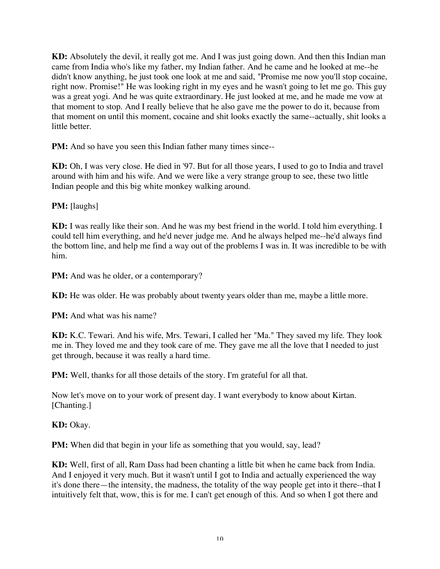**KD:** Absolutely the devil, it really got me. And I was just going down. And then this Indian man came from India who's like my father, my Indian father. And he came and he looked at me--he didn't know anything, he just took one look at me and said, "Promise me now you'll stop cocaine, right now. Promise!" He was looking right in my eyes and he wasn't going to let me go. This guy was a great yogi. And he was quite extraordinary. He just looked at me, and he made me vow at that moment to stop. And I really believe that he also gave me the power to do it, because from that moment on until this moment, cocaine and shit looks exactly the same--actually, shit looks a little better.

**PM:** And so have you seen this Indian father many times since--

**KD:** Oh, I was very close. He died in '97. But for all those years, I used to go to India and travel around with him and his wife. And we were like a very strange group to see, these two little Indian people and this big white monkey walking around.

**PM:** [laughs]

**KD:** I was really like their son. And he was my best friend in the world. I told him everything. I could tell him everything, and he'd never judge me. And he always helped me--he'd always find the bottom line, and help me find a way out of the problems I was in. It was incredible to be with him.

**PM:** And was he older, or a contemporary?

**KD:** He was older. He was probably about twenty years older than me, maybe a little more.

**PM:** And what was his name?

**KD:** K.C. Tewari. And his wife, Mrs. Tewari, I called her "Ma." They saved my life. They look me in. They loved me and they took care of me. They gave me all the love that I needed to just get through, because it was really a hard time.

**PM:** Well, thanks for all those details of the story. I'm grateful for all that.

Now let's move on to your work of present day. I want everybody to know about Kirtan. [Chanting.]

**KD:** Okay.

**PM:** When did that begin in your life as something that you would, say, lead?

**KD:** Well, first of all, Ram Dass had been chanting a little bit when he came back from India. And I enjoyed it very much. But it wasn't until I got to India and actually experienced the way it's done there—the intensity, the madness, the totality of the way people get into it there--that I intuitively felt that, wow, this is for me. I can't get enough of this. And so when I got there and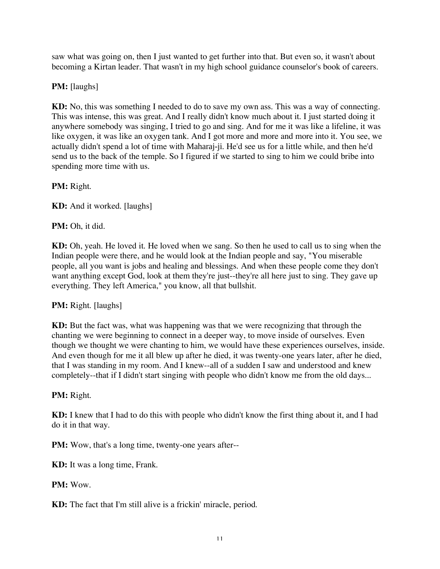saw what was going on, then I just wanted to get further into that. But even so, it wasn't about becoming a Kirtan leader. That wasn't in my high school guidance counselor's book of careers.

### **PM:** [laughs]

**KD:** No, this was something I needed to do to save my own ass. This was a way of connecting. This was intense, this was great. And I really didn't know much about it. I just started doing it anywhere somebody was singing, I tried to go and sing. And for me it was like a lifeline, it was like oxygen, it was like an oxygen tank. And I got more and more and more into it. You see, we actually didn't spend a lot of time with Maharaj-ji. He'd see us for a little while, and then he'd send us to the back of the temple. So I figured if we started to sing to him we could bribe into spending more time with us.

**PM:** Right.

**KD:** And it worked. [laughs]

**PM:** Oh, it did.

**KD:** Oh, yeah. He loved it. He loved when we sang. So then he used to call us to sing when the Indian people were there, and he would look at the Indian people and say, "You miserable people, all you want is jobs and healing and blessings. And when these people come they don't want anything except God, look at them they're just--they're all here just to sing. They gave up everything. They left America," you know, all that bullshit.

#### **PM:** Right. [laughs]

**KD:** But the fact was, what was happening was that we were recognizing that through the chanting we were beginning to connect in a deeper way, to move inside of ourselves. Even though we thought we were chanting to him, we would have these experiences ourselves, inside. And even though for me it all blew up after he died, it was twenty-one years later, after he died, that I was standing in my room. And I knew--all of a sudden I saw and understood and knew completely--that if I didn't start singing with people who didn't know me from the old days...

#### **PM:** Right.

**KD:** I knew that I had to do this with people who didn't know the first thing about it, and I had do it in that way.

**PM:** Wow, that's a long time, twenty-one years after--

**KD:** It was a long time, Frank.

#### **PM:** Wow.

**KD:** The fact that I'm still alive is a frickin' miracle, period.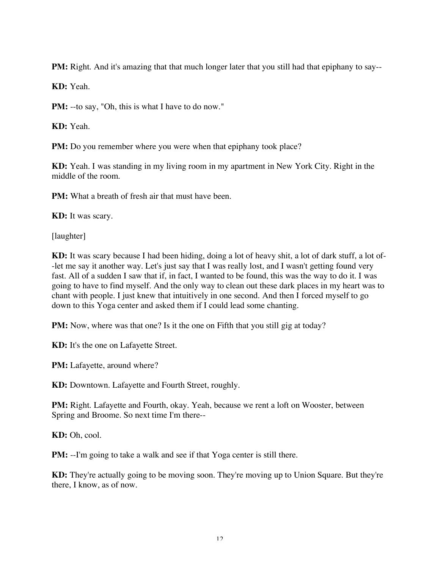**PM:** Right. And it's amazing that that much longer later that you still had that epiphany to say--

**KD:** Yeah.

**PM:** --to say, "Oh, this is what I have to do now."

**KD:** Yeah.

**PM:** Do you remember where you were when that epiphany took place?

**KD:** Yeah. I was standing in my living room in my apartment in New York City. Right in the middle of the room.

**PM:** What a breath of fresh air that must have been.

**KD:** It was scary.

[laughter]

**KD:** It was scary because I had been hiding, doing a lot of heavy shit, a lot of dark stuff, a lot of- -let me say it another way. Let's just say that I was really lost, and I wasn't getting found very fast. All of a sudden I saw that if, in fact, I wanted to be found, this was the way to do it. I was going to have to find myself. And the only way to clean out these dark places in my heart was to chant with people. I just knew that intuitively in one second. And then I forced myself to go down to this Yoga center and asked them if I could lead some chanting.

**PM:** Now, where was that one? Is it the one on Fifth that you still gig at today?

**KD:** It's the one on Lafayette Street.

**PM:** Lafayette, around where?

**KD:** Downtown. Lafayette and Fourth Street, roughly.

**PM:** Right. Lafayette and Fourth, okay. Yeah, because we rent a loft on Wooster, between Spring and Broome. So next time I'm there--

**KD:** Oh, cool.

**PM:** --I'm going to take a walk and see if that Yoga center is still there.

**KD:** They're actually going to be moving soon. They're moving up to Union Square. But they're there, I know, as of now.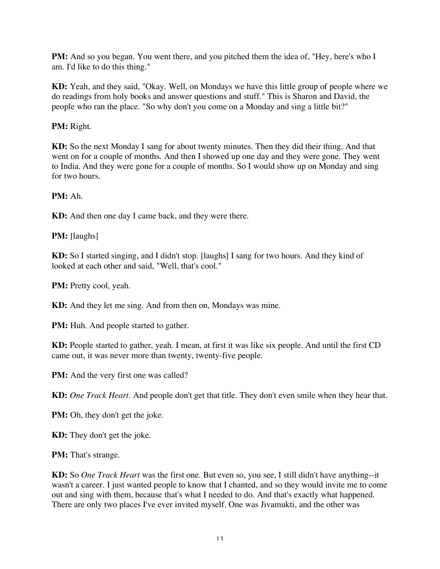**PM:** And so you began. You went there, and you pitched them the idea of, "Hey, here's who I am. I'd like to do this thing."

**KD:** Yeah, and they said, "Okay. Well, on Mondays we have this little group of people where we do readings from holy books and answer questions and stuff." This is Sharon and David, the people who ran the place. "So why don't you come on a Monday and sing a little bit?"

# **PM:** Right.

**KD:** So the next Monday I sang for about twenty minutes. Then they did their thing. And that went on for a couple of months. And then I showed up one day and they were gone. They went to India. And they were gone for a couple of months. So I would show up on Monday and sing for two hours.

# **PM:** Ah.

**KD:** And then one day I came back, and they were there.

# **PM:** [laughs]

**KD:** So I started singing, and I didn't stop. [laughs] I sang for two hours. And they kind of looked at each other and said, "Well, that's cool."

**PM:** Pretty cool, yeah.

**KD:** And they let me sing. And from then on, Mondays was mine.

**PM:** Huh. And people started to gather.

**KD:** People started to gather, yeah. I mean, at first it was like six people. And until the first CD came out, it was never more than twenty, twenty-five people.

**PM:** And the very first one was called?

**KD:** *One Track Heart*. And people don't get that title. They don't even smile when they hear that.

**PM:** Oh, they don't get the joke.

**KD:** They don't get the joke.

**PM:** That's strange.

**KD:** So *One Track Heart* was the first one. But even so, you see, I still didn't have anything--it wasn't a career. I just wanted people to know that I chanted, and so they would invite me to come out and sing with them, because that's what I needed to do. And that's exactly what happened. There are only two places I've ever invited myself. One was Jivamukti, and the other was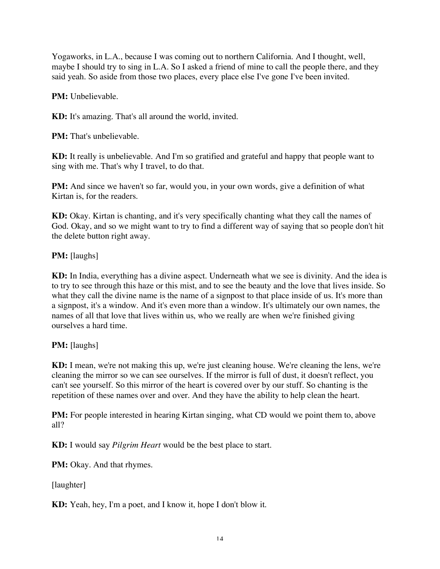Yogaworks, in L.A., because I was coming out to northern California. And I thought, well, maybe I should try to sing in L.A. So I asked a friend of mine to call the people there, and they said yeah. So aside from those two places, every place else I've gone I've been invited.

**PM:** Unbelievable.

**KD:** It's amazing. That's all around the world, invited.

**PM:** That's unbelievable.

**KD:** It really is unbelievable. And I'm so gratified and grateful and happy that people want to sing with me. That's why I travel, to do that.

**PM:** And since we haven't so far, would you, in your own words, give a definition of what Kirtan is, for the readers.

**KD:** Okay. Kirtan is chanting, and it's very specifically chanting what they call the names of God. Okay, and so we might want to try to find a different way of saying that so people don't hit the delete button right away.

### **PM:** [laughs]

**KD:** In India, everything has a divine aspect. Underneath what we see is divinity. And the idea is to try to see through this haze or this mist, and to see the beauty and the love that lives inside. So what they call the divine name is the name of a signpost to that place inside of us. It's more than a signpost, it's a window. And it's even more than a window. It's ultimately our own names, the names of all that love that lives within us, who we really are when we're finished giving ourselves a hard time.

# **PM:** [laughs]

**KD:** I mean, we're not making this up, we're just cleaning house. We're cleaning the lens, we're cleaning the mirror so we can see ourselves. If the mirror is full of dust, it doesn't reflect, you can't see yourself. So this mirror of the heart is covered over by our stuff. So chanting is the repetition of these names over and over. And they have the ability to help clean the heart.

**PM:** For people interested in hearing Kirtan singing, what CD would we point them to, above all?

**KD:** I would say *Pilgrim Heart* would be the best place to start.

**PM:** Okay. And that rhymes.

[laughter]

**KD:** Yeah, hey, I'm a poet, and I know it, hope I don't blow it.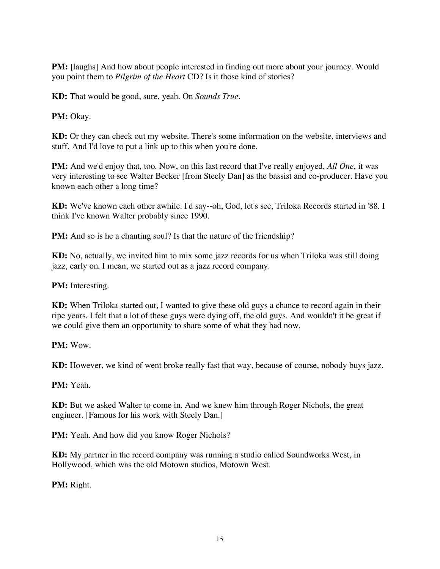**PM:** [laughs] And how about people interested in finding out more about your journey. Would you point them to *Pilgrim of the Heart* CD? Is it those kind of stories?

**KD:** That would be good, sure, yeah. On *Sounds True*.

**PM:** Okay.

**KD:** Or they can check out my website. There's some information on the website, interviews and stuff. And I'd love to put a link up to this when you're done.

**PM:** And we'd enjoy that, too. Now, on this last record that I've really enjoyed, *All One*, it was very interesting to see Walter Becker [from Steely Dan] as the bassist and co-producer. Have you known each other a long time?

**KD:** We've known each other awhile. I'd say--oh, God, let's see, Triloka Records started in '88. I think I've known Walter probably since 1990.

**PM:** And so is he a chanting soul? Is that the nature of the friendship?

**KD:** No, actually, we invited him to mix some jazz records for us when Triloka was still doing jazz, early on. I mean, we started out as a jazz record company.

**PM:** Interesting.

**KD:** When Triloka started out, I wanted to give these old guys a chance to record again in their ripe years. I felt that a lot of these guys were dying off, the old guys. And wouldn't it be great if we could give them an opportunity to share some of what they had now.

**PM:** Wow.

**KD:** However, we kind of went broke really fast that way, because of course, nobody buys jazz.

**PM:** Yeah.

**KD:** But we asked Walter to come in. And we knew him through Roger Nichols, the great engineer. [Famous for his work with Steely Dan.]

**PM:** Yeah. And how did you know Roger Nichols?

**KD:** My partner in the record company was running a studio called Soundworks West, in Hollywood, which was the old Motown studios, Motown West.

**PM:** Right.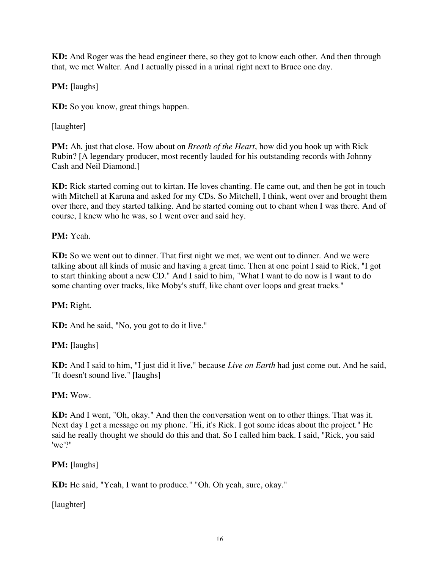**KD:** And Roger was the head engineer there, so they got to know each other. And then through that, we met Walter. And I actually pissed in a urinal right next to Bruce one day.

**PM:** [laughs]

**KD:** So you know, great things happen.

[laughter]

**PM:** Ah, just that close. How about on *Breath of the Heart*, how did you hook up with Rick Rubin? [A legendary producer, most recently lauded for his outstanding records with Johnny Cash and Neil Diamond.]

**KD:** Rick started coming out to kirtan. He loves chanting. He came out, and then he got in touch with Mitchell at Karuna and asked for my CDs. So Mitchell, I think, went over and brought them over there, and they started talking. And he started coming out to chant when I was there. And of course, I knew who he was, so I went over and said hey.

**PM:** Yeah.

**KD:** So we went out to dinner. That first night we met, we went out to dinner. And we were talking about all kinds of music and having a great time. Then at one point I said to Rick, "I got to start thinking about a new CD." And I said to him, "What I want to do now is I want to do some chanting over tracks, like Moby's stuff, like chant over loops and great tracks."

**PM:** Right.

**KD:** And he said, "No, you got to do it live."

**PM:** [laughs]

**KD:** And I said to him, "I just did it live," because *Live on Earth* had just come out. And he said, "It doesn't sound live." [laughs]

**PM:** Wow.

**KD:** And I went, "Oh, okay." And then the conversation went on to other things. That was it. Next day I get a message on my phone. "Hi, it's Rick. I got some ideas about the project." He said he really thought we should do this and that. So I called him back. I said, "Rick, you said 'we'?"

**PM:** [laughs]

**KD:** He said, "Yeah, I want to produce." "Oh. Oh yeah, sure, okay."

[laughter]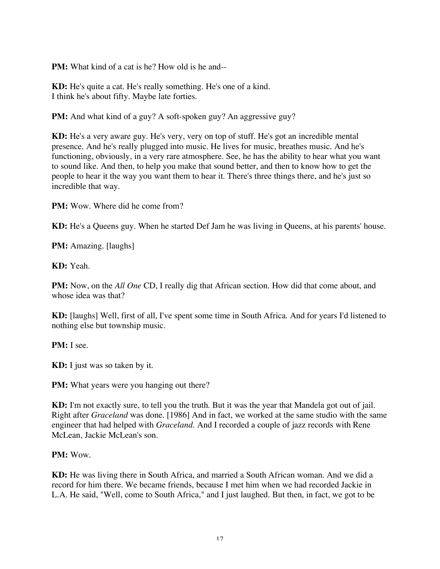**PM:** What kind of a cat is he? How old is he and--

**KD:** He's quite a cat. He's really something. He's one of a kind. I think he's about fifty. Maybe late forties.

**PM:** And what kind of a guy? A soft-spoken guy? An aggressive guy?

**KD:** He's a very aware guy. He's very, very on top of stuff. He's got an incredible mental presence. And he's really plugged into music. He lives for music, breathes music. And he's functioning, obviously, in a very rare atmosphere. See, he has the ability to hear what you want to sound like. And then, to help you make that sound better, and then to know how to get the people to hear it the way you want them to hear it. There's three things there, and he's just so incredible that way.

**PM:** Wow. Where did he come from?

**KD:** He's a Queens guy. When he started Def Jam he was living in Queens, at his parents' house.

**PM:** Amazing. [laughs]

**KD:** Yeah.

**PM:** Now, on the *All One* CD, I really dig that African section. How did that come about, and whose idea was that?

**KD:** [laughs] Well, first of all, I've spent some time in South Africa. And for years I'd listened to nothing else but township music.

**PM:** I see.

**KD:** I just was so taken by it.

**PM:** What years were you hanging out there?

**KD:** I'm not exactly sure, to tell you the truth. But it was the year that Mandela got out of jail. Right after *Graceland* was done. [1986] And in fact, we worked at the same studio with the same engineer that had helped with *Graceland.* And I recorded a couple of jazz records with Rene McLean, Jackie McLean's son.

### **PM:** Wow.

**KD:** He was living there in South Africa, and married a South African woman. And we did a record for him there. We became friends, because I met him when we had recorded Jackie in L.A. He said, "Well, come to South Africa," and I just laughed. But then, in fact, we got to be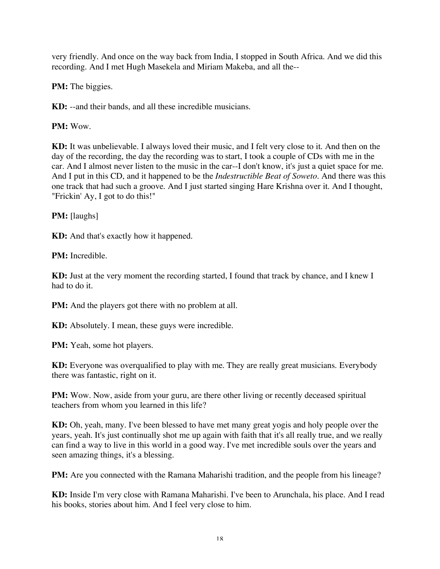very friendly. And once on the way back from India, I stopped in South Africa. And we did this recording. And I met Hugh Masekela and Miriam Makeba, and all the--

**PM:** The biggies.

**KD:** --and their bands, and all these incredible musicians.

**PM:** Wow.

**KD:** It was unbelievable. I always loved their music, and I felt very close to it. And then on the day of the recording, the day the recording was to start, I took a couple of CDs with me in the car. And I almost never listen to the music in the car--I don't know, it's just a quiet space for me. And I put in this CD, and it happened to be the *Indestructible Beat of Soweto*. And there was this one track that had such a groove. And I just started singing Hare Krishna over it. And I thought, "Frickin' Ay, I got to do this!"

**PM:** [laughs]

**KD:** And that's exactly how it happened.

**PM:** Incredible.

**KD:** Just at the very moment the recording started, I found that track by chance, and I knew I had to do it.

**PM:** And the players got there with no problem at all.

**KD:** Absolutely. I mean, these guys were incredible.

**PM:** Yeah, some hot players.

**KD:** Everyone was overqualified to play with me. They are really great musicians. Everybody there was fantastic, right on it.

**PM:** Wow. Now, aside from your guru, are there other living or recently deceased spiritual teachers from whom you learned in this life?

**KD:** Oh, yeah, many. I've been blessed to have met many great yogis and holy people over the years, yeah. It's just continually shot me up again with faith that it's all really true, and we really can find a way to live in this world in a good way. I've met incredible souls over the years and seen amazing things, it's a blessing.

**PM:** Are you connected with the Ramana Maharishi tradition, and the people from his lineage?

**KD:** Inside I'm very close with Ramana Maharishi. I've been to Arunchala, his place. And I read his books, stories about him. And I feel very close to him.